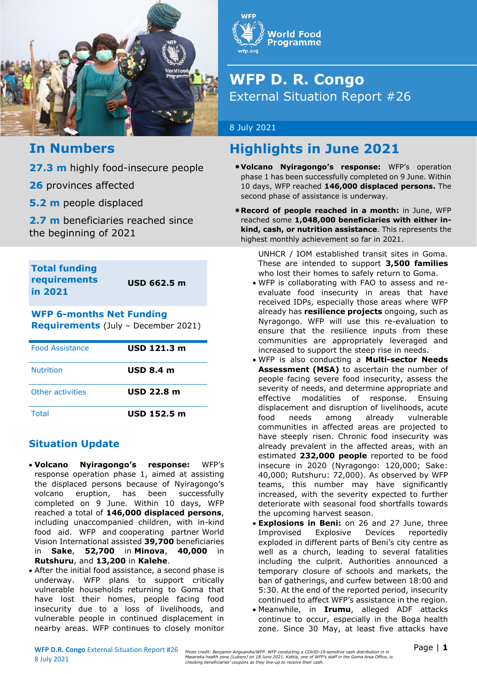

# **World Food Programme**

# **WFP D. R. Congo** External Situation Report #26

### 8 July 2021

# **In Numbers**

**27.3 m** highly food-insecure people

**26** provinces affected

**5.2 m** people displaced

**2.7 m** beneficiaries reached since the beginning of 2021

**Total funding requirements in 2021**

**USD 662.5 m**

# **WFP 6-months Net Funding Requirements** (July – December 2021)

| <b>Food Assistance</b> | USD 121.3 m       |
|------------------------|-------------------|
| <b>Nutrition</b>       | <b>USD 8.4 m</b>  |
| Other activities       | <b>USD 22.8 m</b> |
| Total                  | USD 152.5 m       |

# **Situation Update**

- **Volcano Nyiragongo's response:** WFP's response operation phase 1, aimed at assisting the displaced persons because of Nyiragongo's volcano eruption, has been successfully completed on 9 June. Within 10 days, WFP reached a total of **146,000 displaced persons**, including unaccompanied children, with in-kind food aid. WFP and cooperating partner World Vision International assisted **39,700** beneficiaries in **Sake**, **52,700** in **Minova**, **40,000** in **Rutshuru**, and **13,200** in **Kalehe**.
- After the initial food assistance, a second phase is underway. WFP plans to support critically vulnerable households returning to Goma that have lost their homes, people facing food insecurity due to a loss of livelihoods, and vulnerable people in continued displacement in nearby areas. WFP continues to closely monitor

# **Highlights in June 2021**

- **Volcano Nyiragongo's response:** WFP's operation phase 1 has been successfully completed on 9 June. Within 10 days, WFP reached **146,000 displaced persons.** The second phase of assistance is underway.
- **Record of people reached in a month:** in June, WFP reached some **1,048,000 beneficiaries with either inkind, cash, or nutrition assistance**. This represents the highest monthly achievement so far in 2021.

UNHCR / IOM established transit sites in Goma. These are intended to support **3,500 families** who lost their homes to safely return to Goma.

- WFP is collaborating with FAO to assess and reevaluate food insecurity in areas that have received IDPs, especially those areas where WFP already has **resilience projects** ongoing, such as Nyragongo. WFP will use this re-evaluation to ensure that the resilience inputs from these communities are appropriately leveraged and increased to support the steep rise in needs.
- WFP is also conducting a **Multi-sector Needs Assessment (MSA)** to ascertain the number of people facing severe food insecurity, assess the severity of needs, and determine appropriate and effective modalities of response. Ensuing displacement and disruption of livelihoods, acute food needs among already vulnerable communities in affected areas are projected to have steeply risen. Chronic food insecurity was already prevalent in the affected areas, with an estimated **232,000 people** reported to be food insecure in 2020 (Nyragongo: 120,000; Sake: 40,000; Rutshuru: 72,000). As observed by WFP teams, this number may have significantly increased, with the severity expected to further deteriorate with seasonal food shortfalls towards the upcoming harvest season.
- **Explosions in Beni:** on 26 and 27 June, three Improvised Explosive Devices reportedly exploded in different parts of Beni's city centre as well as a church, leading to several fatalities including the culprit. Authorities announced a temporary closure of schools and markets, the ban of gatherings, and curfew between 18:00 and 5:30. At the end of the reported period, insecurity continued to affect WFP's assistance in the region.
- Meanwhile, in **Irumu**, alleged ADF attacks continue to occur, especially in the Boga health zone. Since 30 May, at least five attacks have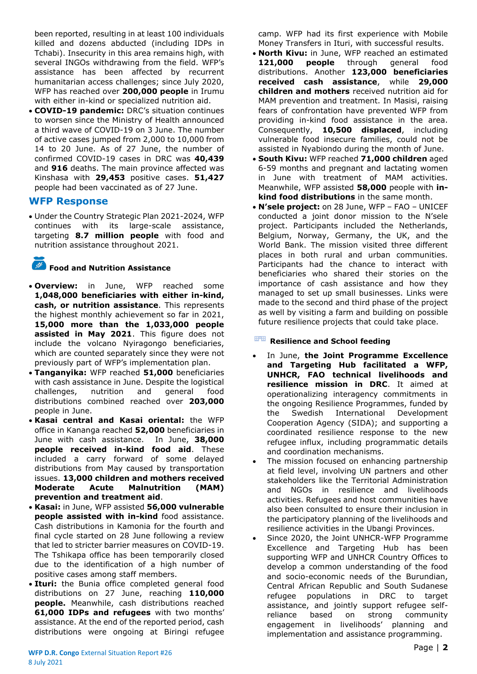been reported, resulting in at least 100 individuals killed and dozens abducted (including IDPs in Tchabi). Insecurity in this area remains high, with several INGOs withdrawing from the field. WFP's assistance has been affected by recurrent humanitarian access challenges; since July 2020, WFP has reached over **200,000 people** in Irumu with either in-kind or specialized nutrition aid.

• **COVID-19 pandemic:** DRC's situation continues to worsen since the Ministry of Health announced a third wave of COVID-19 on 3 June. The number of active cases jumped from 2,000 to 10,000 from 14 to 20 June. As of 27 June, the number of confirmed COVID-19 cases in DRC was **40,439** and **916** deaths. The main province affected was Kinshasa with **29,453** positive cases. **51,427** people had been vaccinated as of 27 June.

### **WFP Response**

• Under the Country Strategic Plan 2021-2024, WFP continues with its large-scale assistance, targeting **8.7 million people** with food and nutrition assistance throughout 2021.

# **Food and Nutrition Assistance**

- **Overview:** in June, WFP reached some **1,048,000 beneficiaries with either in-kind, cash, or nutrition assistance**. This represents the highest monthly achievement so far in 2021, **15,000 more than the 1,033,000 people assisted in May 2021**. This figure does not include the volcano Nyiragongo beneficiaries, which are counted separately since they were not previously part of WFP's implementation plan.
- **Tanganyika:** WFP reached **51,000** beneficiaries with cash assistance in June. Despite the logistical challenges, nutrition and general food distributions combined reached over **203,000** people in June.
- **Kasai central and Kasai oriental:** the WFP office in Kananga reached **52,000** beneficiaries in June with cash assistance. In June, **38,000 people received in-kind food aid**. These included a carry forward of some delayed distributions from May caused by transportation issues. **13,000 children and mothers received Moderate Acute Malnutrition (MAM) prevention and treatment aid**.
- **Kasai:** in June, WFP assisted **56,000 vulnerable people assisted with in-kind** food assistance. Cash distributions in Kamonia for the fourth and final cycle started on 28 June following a review that led to stricter barrier measures on COVID-19. The Tshikapa office has been temporarily closed due to the identification of a high number of positive cases among staff members.
- **Ituri:** the Bunia office completed general food distributions on 27 June, reaching **110,000 people.** Meanwhile, cash distributions reached **61,000 IDPs and refugees** with two months' assistance. At the end of the reported period, cash distributions were ongoing at Biringi refugee

camp. WFP had its first experience with Mobile Money Transfers in Ituri, with successful results.

- **North Kivu:** in June, WFP reached an estimated **121,000 people** through general food distributions. Another **123,000 beneficiaries received cash assistance**, while **29,000 children and mothers** received nutrition aid for MAM prevention and treatment. In Masisi, raising fears of confrontation have prevented WFP from providing in-kind food assistance in the area. Consequently, **10,500 displaced**, including vulnerable food insecure families, could not be assisted in Nyabiondo during the month of June.
- **South Kivu:** WFP reached **71,000 children** aged 6-59 months and pregnant and lactating women in June with treatment of MAM activities. Meanwhile, WFP assisted **58,000** people with **inkind food distributions** in the same month.
- **N'sele project:** on 28 June, WFP FAO UNICEF conducted a joint donor mission to the N'sele project. Participants included the Netherlands, Belgium, Norway, Germany, the UK, and the World Bank. The mission visited three different places in both rural and urban communities. Participants had the chance to interact with beneficiaries who shared their stories on the importance of cash assistance and how they managed to set up small businesses. Links were made to the second and third phase of the project as well by visiting a farm and building on possible future resilience projects that could take place.

### **Resilience and School feeding**

- In June, **the Joint Programme Excellence and Targeting Hub facilitated a WFP, UNHCR, FAO technical livelihoods and resilience mission in DRC**. It aimed at operationalizing interagency commitments in the ongoing Resilience Programmes, funded by the Swedish International Development Cooperation Agency (SIDA); and supporting a coordinated resilience response to the new refugee influx, including programmatic details and coordination mechanisms.
- The mission focused on enhancing partnership at field level, involving UN partners and other stakeholders like the Territorial Administration and NGOs in resilience and livelihoods activities. Refugees and host communities have also been consulted to ensure their inclusion in the participatory planning of the livelihoods and resilience activities in the Ubangi Provinces.
- Since 2020, the Joint UNHCR-WFP Programme Excellence and Targeting Hub has been supporting WFP and UNHCR Country Offices to develop a common understanding of the food and socio-economic needs of the Burundian, Central African Republic and South Sudanese refugee populations in DRC to target assistance, and jointly support refugee selfreliance based on strong community engagement in livelihoods' planning and implementation and assistance programming.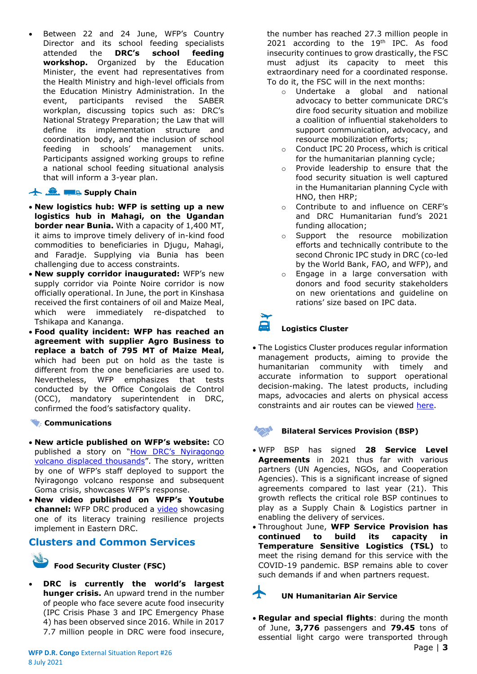Between 22 and 24 June, WFP's Country Director and its school feeding specialists attended the **DRC's school feeding workshop.** Organized by the Education Minister, the event had representatives from the Health Ministry and high-level officials from the Education Ministry Administration. In the event, participants revised the SABER workplan, discussing topics such as: DRC's National Strategy Preparation; the Law that will define its implementation structure and coordination body, and the inclusion of school feeding in schools' management units. Participants assigned working groups to refine a national school feeding situational analysis that will inform a 3-year plan.

### **Supply Chain**

- **New logistics hub: WFP is setting up a new logistics hub in Mahagi, on the Ugandan border near Bunia.** With a capacity of 1,400 MT, it aims to improve timely delivery of in-kind food commodities to beneficiaries in Djugu, Mahagi, and Faradje. Supplying via Bunia has been challenging due to access constraints.
- **New supply corridor inaugurated:** WFP's new supply corridor via Pointe Noire corridor is now officially operational. In June, the port in Kinshasa received the first containers of oil and Maize Meal, which were immediately re-dispatched to Tshikapa and Kananga.
- **Food quality incident: WFP has reached an agreement with supplier Agro Business to replace a batch of 795 MT of Maize Meal,**  which had been put on hold as the taste is different from the one beneficiaries are used to. Nevertheless, WFP emphasizes that tests conducted by the Office Congolais de Control (OCC), mandatory superintendent in DRC, confirmed the food's satisfactory quality.

### **Communications**

- **New article published on WFP's website:** CO published a story on ["How DRC's Nyiragongo](https://eur03.safelinks.protection.outlook.com/?url=https%3A%2F%2Fwww.wfp.org%2Fstories%2Fhow-drcs-nyiragongo-volcano-displaced-thousands&data=04%7C01%7Cleonardo.dasilveira%40wfp.org%7Cba34cd26cfcc49ed919a08d9349b0f6b%7C462ad9aed7d94206b87471b1e079776f%7C0%7C0%7C637598662838926220%7CUnknown%7CTWFpbGZsb3d8eyJWIjoiMC4wLjAwMDAiLCJQIjoiV2luMzIiLCJBTiI6Ik1haWwiLCJXVCI6Mn0%3D%7C1000&sdata=6RyErELn3s8%2FWKwiI7e2kxT8JrYVHatocNttb5f%2BekY%3D&reserved=0)  [volcano displaced thousands](https://eur03.safelinks.protection.outlook.com/?url=https%3A%2F%2Fwww.wfp.org%2Fstories%2Fhow-drcs-nyiragongo-volcano-displaced-thousands&data=04%7C01%7Cleonardo.dasilveira%40wfp.org%7Cba34cd26cfcc49ed919a08d9349b0f6b%7C462ad9aed7d94206b87471b1e079776f%7C0%7C0%7C637598662838926220%7CUnknown%7CTWFpbGZsb3d8eyJWIjoiMC4wLjAwMDAiLCJQIjoiV2luMzIiLCJBTiI6Ik1haWwiLCJXVCI6Mn0%3D%7C1000&sdata=6RyErELn3s8%2FWKwiI7e2kxT8JrYVHatocNttb5f%2BekY%3D&reserved=0)". The story, written by one of WFP's staff deployed to support the Nyiragongo volcano response and subsequent Goma crisis, showcases WFP's response.
- **New video published on WFP's Youtube**  channel: WFP DRC produced a **video** showcasing one of its literacy training resilience projects implement in Eastern DRC.

# **Clusters and Common Services**



# **Food Security Cluster (FSC)**

• **DRC is currently the world's largest hunger crisis.** An upward trend in the number of people who face severe acute food insecurity (IPC Crisis Phase 3 and IPC Emergency Phase 4) has been observed since 2016. While in 2017 7.7 million people in DRC were food insecure, the number has reached 27.3 million people in 2021 according to the 19<sup>th</sup> IPC. As food insecurity continues to grow drastically, the FSC must adjust its capacity to meet this extraordinary need for a coordinated response. To do it, the FSC will in the next months:

- o Undertake a global and national advocacy to better communicate DRC's dire food security situation and mobilize a coalition of influential stakeholders to support communication, advocacy, and resource mobilization efforts;
- o Conduct IPC 20 Process, which is critical for the humanitarian planning cycle;
- o Provide leadership to ensure that the food security situation is well captured in the Humanitarian planning Cycle with HNO, then HRP;
- o Contribute to and influence on CERF's and DRC Humanitarian fund's 2021 funding allocation;
- o Support the resource mobilization efforts and technically contribute to the second Chronic IPC study in DRC (co-led by the World Bank, FAO, and WFP), and
- o Engage in a large conversation with donors and food security stakeholders on new orientations and guideline on rations' size based on IPC data.

### **Logistics Cluster**

• The Logistics Cluster produces regular information management products, aiming to provide the humanitarian community with timely and accurate information to support operational decision-making. The latest products, including maps, advocacies and alerts on physical access constraints and air routes can be viewed [here.](https://logcluster.org/ops/drc)

### **Bilateral Services Provision (BSP)**

- WFP BSP has signed **28 Service Level Agreements** in 2021 thus far with various partners (UN Agencies, NGOs, and Cooperation Agencies). This is a significant increase of signed agreements compared to last year (21). This growth reflects the critical role BSP continues to play as a Supply Chain & Logistics partner in enabling the delivery of services.
- Throughout June, **WFP Service Provision has continued to build its capacity in Temperature Sensitive Logistics (TSL)** to meet the rising demand for this service with the COVID-19 pandemic. BSP remains able to cover such demands if and when partners request.

## **UN Humanitarian Air Service**

• **Regular and special flights**: during the month of June, **3,776** passengers and **79.45** tons of essential light cargo were transported through